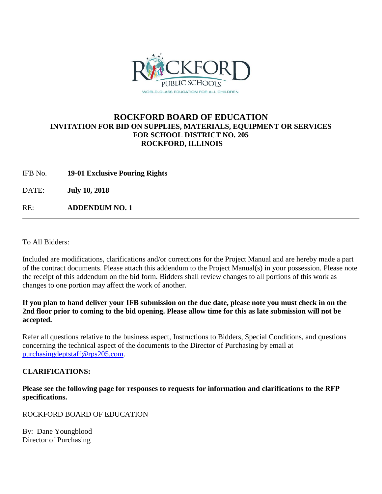

## **ROCKFORD BOARD OF EDUCATION INVITATION FOR BID ON SUPPLIES, MATERIALS, EQUIPMENT OR SERVICES FOR SCHOOL DISTRICT NO. 205 ROCKFORD, ILLINOIS**

IFB No. **19-01 Exclusive Pouring Rights**

DATE: **July 10, 2018**

RE: **ADDENDUM NO. 1**

To All Bidders:

Included are modifications, clarifications and/or corrections for the Project Manual and are hereby made a part of the contract documents. Please attach this addendum to the Project Manual(s) in your possession. Please note the receipt of this addendum on the bid form. Bidders shall review changes to all portions of this work as changes to one portion may affect the work of another.

## **If you plan to hand deliver your IFB submission on the due date, please note you must check in on the 2nd floor prior to coming to the bid opening. Please allow time for this as late submission will not be accepted.**

Refer all questions relative to the business aspect, Instructions to Bidders, Special Conditions, and questions concerning the technical aspect of the documents to the Director of Purchasing by email at [purchasingdeptstaff@rps205.com.](mailto:purchasingdeptstaff@rps205.com)

## **CLARIFICATIONS:**

**Please see the following page for responses to requests for information and clarifications to the RFP specifications.**

ROCKFORD BOARD OF EDUCATION

By: Dane Youngblood Director of Purchasing